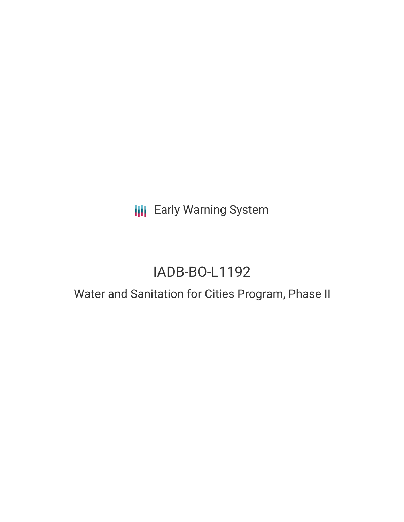**III** Early Warning System

# IADB-BO-L1192

# Water and Sanitation for Cities Program, Phase II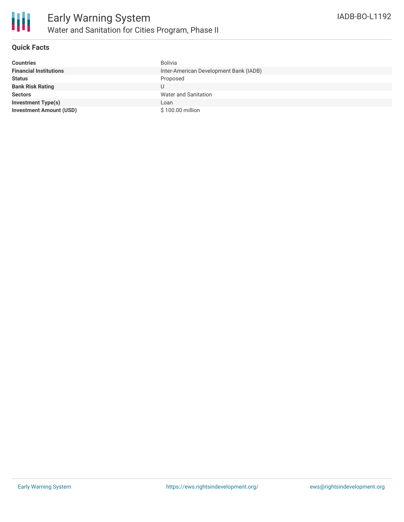

#### **Quick Facts**

| <b>Countries</b>               | Bolivia                                |
|--------------------------------|----------------------------------------|
| <b>Financial Institutions</b>  | Inter-American Development Bank (IADB) |
| <b>Status</b>                  | Proposed                               |
| <b>Bank Risk Rating</b>        |                                        |
| <b>Sectors</b>                 | Water and Sanitation                   |
| <b>Investment Type(s)</b>      | Loan                                   |
| <b>Investment Amount (USD)</b> | \$100.00 million                       |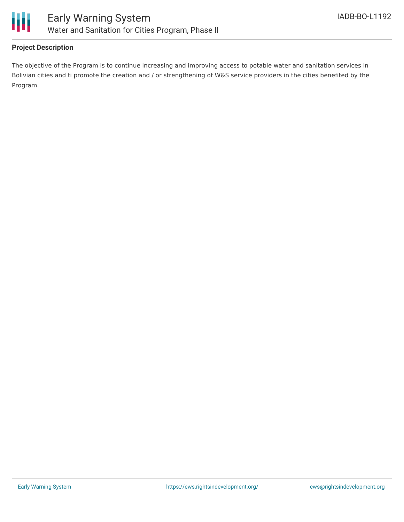

# **Project Description**

The objective of the Program is to continue increasing and improving access to potable water and sanitation services in Bolivian cities and ti promote the creation and / or strengthening of W&S service providers in the cities benefited by the Program.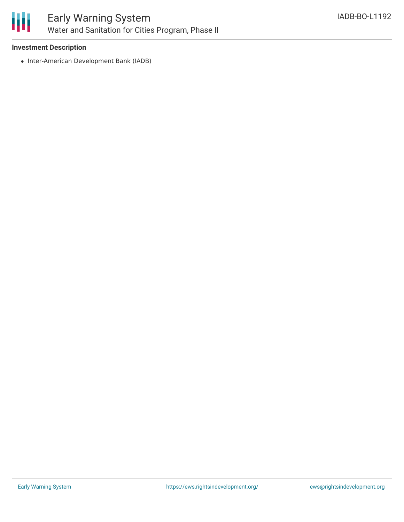

## **Investment Description**

• Inter-American Development Bank (IADB)